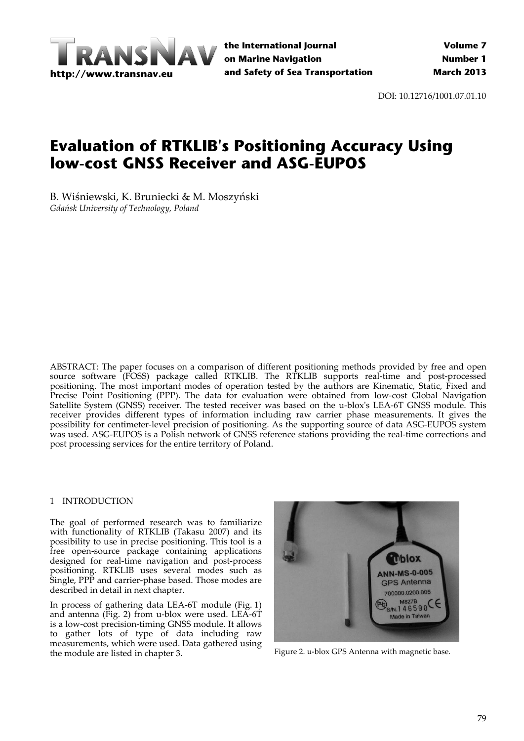

**the International Journal on Marine Navigation and Safety of Sea Transportation**

DOI: 10.12716/1001.07.01.10

# **Evaluation of RTKLIB's Positioning Accuracy Using low-cost GNSS Receiver and ASG-EUPOS**

B. Wiśniewski, K. Bruniecki & M. Moszyński *Gdańsk University of Technology, Poland*

ABSTRACT: The paper focuses on a comparison of different positioning methods provided by free and open source software (FOSS) package called RTKLIB. The RTKLIB supports real-time and post-processed positioning. The most important modes of operation tested by the authors are Kinematic, Static, Fixed and Precise Point Positioning (PPP). The data for evaluation were obtained from low-cost Global Navigation Satellite System (GNSS) receiver. The tested receiver was based on the u-blox's LEA-6T GNSS module. This receiver provides different types of information including raw carrier phase measurements. It gives the possibility for centimeter‐level precision of positioning. As the supporting source of data ASG‐EUPOS system was used. ASG‐EUPOS is a Polish network of GNSS reference stations providing the real‐time corrections and post processing services for the entire territory of Poland.

## 1 INTRODUCTION

The goal of performed research was to familiarize with functionality of RTKLIB (Takasu 2007) and its possibility to use in precise positioning. This tool is a free open‐source package containing applications designed for real-time navigation and post-process positioning. RTKLIB uses several modes such as Single, PPP and carrier‐phase based. Those modes are described in detail in next chapter.

In process of gathering data LEA‐6T module (Fig. 1) and antenna (Fig. 2) from u‐blox were used. LEA‐6T is a low‐cost precision‐timing GNSS module. It allows to gather lots of type of data including raw measurements, which were used. Data gathered using the module are listed in chapter 3. Figure 2. u-blox GPS Antenna with magnetic base.

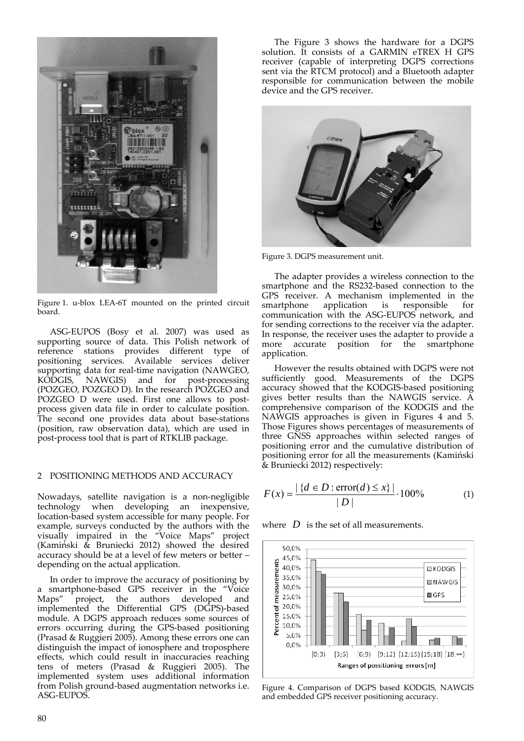

Figure 1. u‐blox LEA‐6T mounted on the printed circuit board.

ASG‐EUPOS (Bosy et al. 2007) was used as supporting source of data. This Polish network of reference stations provides different type of positioning services. Available services deliver supporting data for real-time navigation (NAWGEO, KODGIS, NAWGIS) and for post-processing KODGIS, NAWGIS) and for post-processing (POZGEO, POZGEO D). In the research POZGEO and POZGEO D were used. First one allows to postprocess given data file in order to calculate position. The second one provides data about base-stations (position, raw observation data), which are used in post‐process tool that is part of RTKLIB package.

#### 2 POSITIONING METHODS AND ACCURACY

Nowadays, satellite navigation is a non‐negligible technology when developing an inexpensive, location‐based system accessible for many people. For example, surveys conducted by the authors with the visually impaired in the "Voice Maps" project (Kamiński & Bruniecki 2012) showed the desired accuracy should be at a level of few meters or better – depending on the actual application.

In order to improve the accuracy of positioning by a smartphone‐based GPS receiver in the "Voice Maps" project, the authors developed and implemented the Differential GPS (DGPS)‐based module. A DGPS approach reduces some sources of errors occurring during the GPS‐based positioning (Prasad & Ruggieri 2005). Among these errors one can distinguish the impact of ionosphere and troposphere effects, which could result in inaccuracies reaching tens of meters (Prasad & Ruggieri 2005). The implemented system uses additional information from Polish ground‐based augmentation networks i.e. ASG‐EUPOS.

The Figure 3 shows the hardware for a DGPS solution. It consists of a GARMIN eTREX H GPS receiver (capable of interpreting DGPS corrections sent via the RTCM protocol) and a Bluetooth adapter responsible for communication between the mobile device and the GPS receiver.



Figure 3. DGPS measurement unit.

The adapter provides a wireless connection to the smartphone and the RS232‐based connection to the GPS receiver. A mechanism implemented in the smartphone application is responsible for communication with the ASG‐EUPOS network, and for sending corrections to the receiver via the adapter. In response, the receiver uses the adapter to provide a more accurate position for the smartphone application.

However the results obtained with DGPS were not sufficiently good. Measurements of the DGPS accuracy showed that the KODGIS‐based positioning gives better results than the NAWGIS service. A comprehensive comparison of the KODGIS and the NAWGIS approaches is given in Figures 4 and 5. Those Figures shows percentages of measurements of three GNSS approaches within selected ranges of positioning error and the cumulative distribution of positioning error for all the measurements (Kamiński & Bruniecki 2012) respectively:

$$
F(x) = \frac{|\{d \in D : \text{error}(d) \le x\}|}{|D|} \cdot 100\% \tag{1}
$$

where  $D$  is the set of all measurements.



Figure 4. Comparison of DGPS based KODGIS, NAWGIS and embedded GPS receiver positioning accuracy.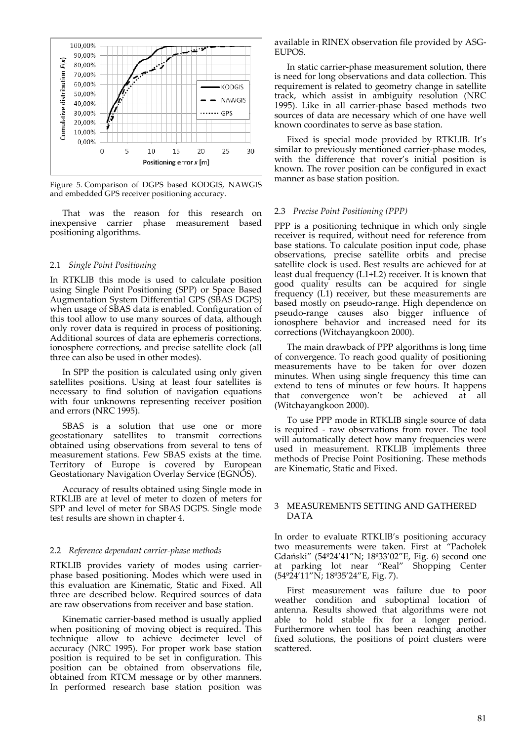

Figure 5. Comparison of DGPS based KODGIS, NAWGIS and embedded GPS receiver positioning accuracy.

That was the reason for this research on inexpensive carrier phase measurement based positioning algorithms.

## 2.1 *Single Point Positioning*

In RTKLIB this mode is used to calculate position using Single Point Positioning (SPP) or Space Based Augmentation System Differential GPS (SBAS DGPS) when usage of SBAS data is enabled. Configuration of this tool allow to use many sources of data, although only rover data is required in process of positioning. Additional sources of data are ephemeris corrections, ionosphere corrections, and precise satellite clock (all three can also be used in other modes).

In SPP the position is calculated using only given satellites positions. Using at least four satellites is necessary to find solution of navigation equations with four unknowns representing receiver position and errors (NRC 1995).

SBAS is a solution that use one or more geostationary satellites to transmit corrections obtained using observations from several to tens of measurement stations. Few SBAS exists at the time. Territory of Europe is covered by European Geostationary Navigation Overlay Service (EGNOS).

Accuracy of results obtained using Single mode in RTKLIB are at level of meter to dozen of meters for SPP and level of meter for SBAS DGPS. Single mode test results are shown in chapter 4.

#### 2.2 *Reference dependant carrier‐phase methods*

RTKLIB provides variety of modes using carrier‐ phase based positioning. Modes which were used in this evaluation are Kinematic, Static and Fixed. All three are described below. Required sources of data are raw observations from receiver and base station.

Kinematic carrier‐based method is usually applied when positioning of moving object is required. This technique allow to achieve decimeter level of accuracy (NRC 1995). For proper work base station position is required to be set in configuration. This position can be obtained from observations file, obtained from RTCM message or by other manners. In performed research base station position was

available in RINEX observation file provided by ASG‐ EUPOS.

In static carrier‐phase measurement solution, there is need for long observations and data collection. This requirement is related to geometry change in satellite track, which assist in ambiguity resolution (NRC 1995). Like in all carrier‐phase based methods two sources of data are necessary which of one have well known coordinates to serve as base station.

Fixed is special mode provided by RTKLIB. It's similar to previously mentioned carrier-phase modes, with the difference that rover's initial position is known. The rover position can be configured in exact manner as base station position.

#### 2.3 *Precise Point Positioning (PPP)*

PPP is a positioning technique in which only single receiver is required, without need for reference from base stations. To calculate position input code, phase observations, precise satellite orbits and precise satellite clock is used. Best results are achieved for at least dual frequency (L1+L2) receiver. It is known that good quality results can be acquired for single frequency (L1) receiver, but these measurements are based mostly on pseudo‐range. High dependence on pseudo‐range causes also bigger influence of ionosphere behavior and increased need for its corrections (Witchayangkoon 2000).

The main drawback of PPP algorithms is long time of convergence. To reach good quality of positioning measurements have to be taken for over dozen minutes. When using single frequency this time can extend to tens of minutes or few hours. It happens that convergence won't be achieved at all (Witchayangkoon 2000).

To use PPP mode in RTKLIB single source of data is required - raw observations from rover. The tool will automatically detect how many frequencies were used in measurement. RTKLIB implements three methods of Precise Point Positioning. These methods are Kinematic, Static and Fixed.

## 3 MEASUREMENTS SETTING AND GATHERED DATA

In order to evaluate RTKLIB's positioning accuracy two measurements were taken. First at "Pachołek Gdański" (54º24'41"N; 18º33'02"E, Fig. 6) second one at parking lot near "Real" Shopping Center (54º24'11"N; 18º35'24"E, Fig. 7).

First measurement was failure due to poor weather condition and suboptimal location of antenna. Results showed that algorithms were not able to hold stable fix for a longer period. Furthermore when tool has been reaching another fixed solutions, the positions of point clusters were scattered.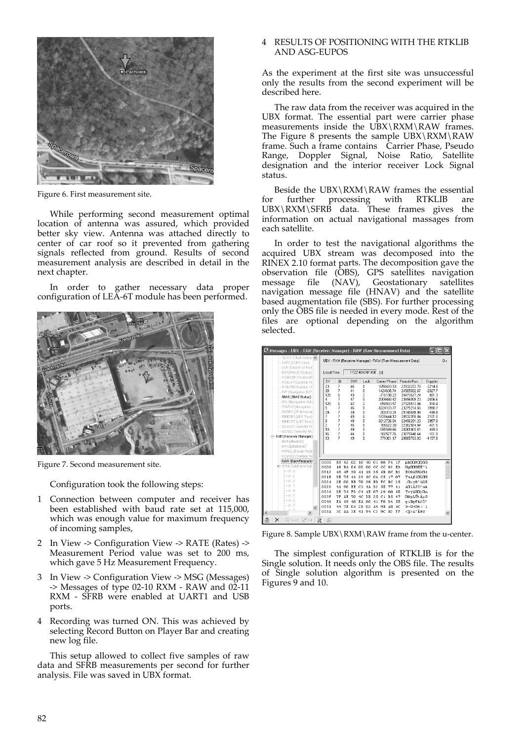

Figure 6. First measurement site.

While performing second measurement optimal location of antenna was assured, which provided better sky view. Antenna was attached directly to center of car roof so it prevented from gathering signals reflected from ground. Results of second measurement analysis are described in detail in the next chapter.

In order to gather necessary data proper configuration of LEA‐6T module has been performed.



Figure 7. Second measurement site.

Configuration took the following steps:

- 1 Connection between computer and receiver has been established with baud rate set at 115,000, which was enough value for maximum frequency of incoming samples,
- 2 In View ‐> Configuration View ‐> RATE (Rates) ‐> Measurement Period value was set to 200 ms, which gave 5 Hz Measurement Frequency.
- 3 In View ‐> Configuration View ‐> MSG (Messages) ‐> Messages of type 02‐10 RXM ‐ RAW and 02‐11 RXM - SFRB were enabled at UART1 and USB ports.
- 4 Recording was turned ON. This was achieved by selecting Record Button on Player Bar and creating new log file.

This setup allowed to collect five samples of raw data and SFRB measurements per second for further analysis. File was saved in UBX format.

## 4 RESULTS OF POSITIONING WITH THE RTKLIB AND ASG‐EUPOS

As the experiment at the first site was unsuccessful only the results from the second experiment will be described here.

The raw data from the receiver was acquired in the UBX format. The essential part were carrier phase measurements inside the UBX\RXM\RAW frames. The Figure 8 presents the sample  $UBX\RXM\RAW$ frame. Such a frame contains Carrier Phase, Pseudo Range, Doppler Signal, Noise Ratio, Satellite designation and the interior receiver Lock Signal status.

Beside the UBX\RXM\RAW frames the essential for further processing with RTKLIB UBX\RXM\SFRB data. These frames gives the information on actual navigational massages from each satellite.

In order to test the navigational algorithms the acquired UBX stream was decomposed into the RINEX 2.10 format parts. The decomposition gave the observation file (OBS), GPS satellites navigation<br>message file (NAV), Geostationary satellites file (NAV), Geostationary navigation message file (HNAV) and the satellite based augmentation file (SBS). For further processing only the OBS file is needed in every mode. Rest of the files are optional depending on the algorithm selected.

| -- CLOCK (Clock Status A                                                               | UBX - RXM (Receiver Manager) - RAW (Raw Measurement Data)               |                                                      |                                                                  |                                                                                                  |                                  |                                                                                                                                                                                                                                                                  |                                                                                                                                                                                           | 0s                                                                                                                                                                          |
|----------------------------------------------------------------------------------------|-------------------------------------------------------------------------|------------------------------------------------------|------------------------------------------------------------------|--------------------------------------------------------------------------------------------------|----------------------------------|------------------------------------------------------------------------------------------------------------------------------------------------------------------------------------------------------------------------------------------------------------------|-------------------------------------------------------------------------------------------------------------------------------------------------------------------------------------------|-----------------------------------------------------------------------------------------------------------------------------------------------------------------------------|
|                                                                                        |                                                                         |                                                      |                                                                  | [s]                                                                                              |                                  |                                                                                                                                                                                                                                                                  |                                                                                                                                                                                           |                                                                                                                                                                             |
| SV<br>23<br>30<br>126<br>4<br>120<br>5<br>29<br>7                                      | <b>QI</b><br>7<br>7<br>6<br>7<br>6<br>7<br>7<br>7                       | SNR<br>46<br>41<br>43<br>47<br>42<br>46<br>39<br>49  | Lock<br>Ō<br>Ō<br>$\overline{2}$<br>0<br>2<br>$\theta$<br>0<br>0 |                                                                                                  |                                  | Pseudo Ran<br>22932272.78<br>24505652.67<br>35473677.24<br>23896059.23<br>37928513.84<br>23275214.66<br>25140699.98<br>20532359.84                                                                                                                               | Doppler<br>$-2214.8$<br>$-2027.7$<br>891.3<br>$-2656.6$<br>818.4<br>3990.7<br>$-498.8$<br>2101.0                                                                                          |                                                                                                                                                                             |
| 8<br>$\overline{c}$<br>10<br>16<br>13                                                  | 7<br>7<br>7<br>7<br>7                                                   | 48<br>45<br>49<br>44<br>49                           | n<br>n<br>Ū.<br>Ū.<br>n                                          |                                                                                                  |                                  | 22496291.23<br>22302974.84<br>20261903.61<br>23079640.44<br>20805763.83                                                                                                                                                                                          | 39578<br>$-401.5$<br>489.3<br>$-161.0$<br>$-1157.8$                                                                                                                                       |                                                                                                                                                                             |
| 0000<br>0009<br>0012<br>001B<br>0024<br>002D<br>003.6<br>003 F<br>0048<br>0051<br>005A | B5<br>18<br>45<br>DE<br>2E<br>41<br>DE.<br><b>7F</b><br>EA.<br>44<br>ЗC | 02<br>39<br>41<br><b>BB</b><br>EE.<br>FD<br>70<br>48 | 40<br>00<br>19<br>6C<br>38<br>4 <sub>A</sub><br>1 E              | 35<br>0A<br><b>BD</b><br>D <sub>3</sub><br>07<br>25                                              | 93<br>0C<br>17<br>BC<br>77<br>nn |                                                                                                                                                                                                                                                                  |                                                                                                                                                                                           | $\overline{\phantom{a}}$                                                                                                                                                    |
|                                                                                        | 崖<br>邃                                                                  | Local Time                                           | 62<br><b>BA 06</b><br>4F<br>75<br>nn<br>90<br>76<br>AE.<br>69    | 10 <sub>1</sub><br>OD<br>41<br>23<br>79<br>C3<br>C <sub>4</sub><br>4C DR<br>EA 80<br>7E 06 2B 02 | 1722:404747.400<br>cc            | Carrier Phase<br>1658693.93<br>1424636.74<br>-716198.22<br>2009660.42<br>-658593.57<br>-3224103.77<br>203313.24<br>-1839444 12<br>3212726.04<br>105672.30<br>-595599.66<br>-102577.76<br>771361.17<br>01 88 F4<br>CC.<br>6B<br>C5<br>FC<br>5E<br>2.9<br>A4 9B A8 | Messages - UBX - RXM (Receiver Manager) - RAW (Raw Measurement Data)<br>1F<br>ED<br>B <sub>3</sub><br>07<br>35<br>41<br>6E<br>$C1$ B.5 47<br>41 F8 D4 5E<br>6C<br>AA 3E 41 94 C3 9C B3 FF | ub0080060<br>OsOOOĚĚ~í<br>EO9AD5RDł<br>TuA#10100<br>.D»v8"üE5<br>AΠîĂJÓ^wA<br>TvýÄDD) On<br>⊟®pLŰ% ÁuG<br>eiHe€AřÔ^<br>$D \sim \Pi + \Pi \times \times T$ 1<br>$<$ S>A"Åśł' |

Figure 8. Sample UBX\RXM\RAW frame from the u-center.

The simplest configuration of RTKLIB is for the Single solution. It needs only the OBS file. The results of Single solution algorithm is presented on the Figures 9 and 10.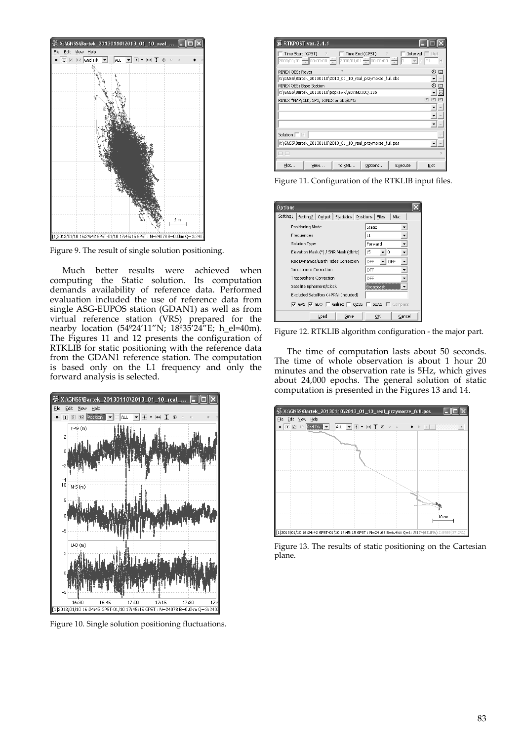

Figure 9. The result of single solution positioning.

Much better results were achieved when computing the Static solution. Its computation demands availability of reference data. Performed evaluation included the use of reference data from single ASG‐EUPOS station (GDAN1) as well as from virtual reference station (VRS) prepared for the nearby location (54º24'11"N; 18º35'24"E; h\_el=40m). The Figures 11 and 12 presents the configuration of RTKLIB for static positioning with the reference data from the GDAN1 reference station. The computation is based only on the L1 frequency and only the forward analysis is selected.



Figure 10. Single solution positioning fluctuations.

| RTKPOST ver. 2.4.1                                                                                                                                                                        |                           |
|-------------------------------------------------------------------------------------------------------------------------------------------------------------------------------------------|---------------------------|
| Time End (GPST)<br>Time Start (GPST) ?<br>$\overline{?}$<br>Interval<br>$2000/01/01$ $\leftarrow$ 00:00:00 $\leftarrow$ 2000/01/01 $\leftarrow$ 00:00:00 $\leftarrow$ 0<br>$\overline{S}$ | $\Gamma$ Unit<br>124<br>Н |
| RINEX OBS: Rover<br>7                                                                                                                                                                     | ⊕<br>Ε                    |
| X:\GNSS\Bartek_20130110\2013_01_10_real_przymorze_full.obs                                                                                                                                | $\cdots$                  |
| RINEX OBS: Base Station                                                                                                                                                                   | 码<br>$\Xi$                |
| X:\GNSS\Bartek_20130110\poprawki\GDAN010Q.13o                                                                                                                                             | $\Box$                    |
| RINEX *NAV/CLK, SP3, IONEX or SBS/EMS                                                                                                                                                     |                           |
|                                                                                                                                                                                           |                           |
|                                                                                                                                                                                           | $\cdots$                  |
|                                                                                                                                                                                           | 111                       |
| Solution I Dir                                                                                                                                                                            |                           |
| X:\GNSS\Bartek_20130110\2013_01_10_real_przymorze_full.pos                                                                                                                                | 111                       |
|                                                                                                                                                                                           |                           |
| Plot…<br>To KML<br>Options<br>Execute<br>View                                                                                                                                             | Exit                      |

Figure 11. Configuration of the RTKLIB input files.



Figure 12. RTKLIB algorithm configuration ‐ the major part.

The time of computation lasts about 50 seconds. The time of whole observation is about 1 hour 20 minutes and the observation rate is 5Hz, which gives about 24,000 epochs. The general solution of static computation is presented in the Figures 13 and 14.



Figure 13. The results of static positioning on the Cartesian plane.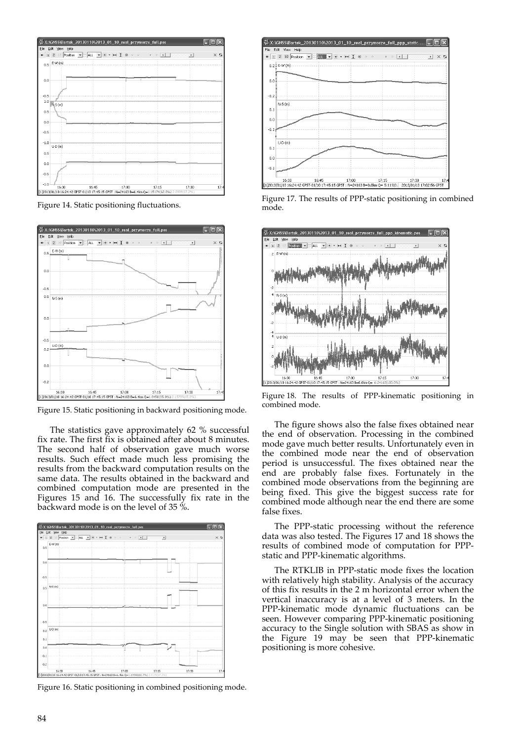|               |                     | - ※ X:\GNSS\Bartek_20130110\2013_01_10_real_przymorze_full.pos                                   |       |                                          |              |               |
|---------------|---------------------|--------------------------------------------------------------------------------------------------|-------|------------------------------------------|--------------|---------------|
|               | File Edit View Help |                                                                                                  |       |                                          |              |               |
|               |                     | $+$ T $2 \times$ Position $-$ ALL $ +$ $+$ $+$ $\uparrow$ $\circ$ $\circ$                        |       | $\alpha$<br>b.<br>$\left  \cdot \right $ | $\mathbf{F}$ | a<br>$\times$ |
| 0.5           | $E-W(m)$            |                                                                                                  |       |                                          |              |               |
| 0.0           |                     |                                                                                                  |       |                                          |              |               |
| $-0.5$        |                     |                                                                                                  |       |                                          |              |               |
| 1.0           | $N-S(m)$            |                                                                                                  |       |                                          |              |               |
| 0.5           |                     |                                                                                                  |       |                                          |              |               |
| 0.0           |                     |                                                                                                  |       |                                          |              |               |
| $-0.5$        |                     |                                                                                                  |       |                                          |              |               |
| $-1.0$        | $U-D(m)$            |                                                                                                  |       |                                          |              |               |
| 0.5           |                     |                                                                                                  |       |                                          |              |               |
| 0.0<br>$-0.5$ |                     |                                                                                                  |       |                                          |              |               |
| $-1.0$        |                     |                                                                                                  |       |                                          |              |               |
|               | 16:30               | 16:45                                                                                            | 17:00 | 17:15                                    | 17:30        | 17:           |
|               |                     | [1]2013/01/10 16:24:42 GPST-01/10 17:45:15 GPST : N=24163 B=6.4km Q=1:15174(62.8%) 2:8989(37.2%) |       |                                          |              |               |

Figure 14. Static positioning fluctuations.



Figure 15. Static positioning in backward positioning mode.

The statistics gave approximately 62 % successful fix rate. The first fix is obtained after about 8 minutes. The second half of observation gave much worse results. Such effect made much less promising the results from the backward computation results on the same data. The results obtained in the backward and combined computation mode are presented in the Figures 15 and 16. The successfully fix rate in the backward mode is on the level of 35 %.



Figure 16. Static positioning in combined positioning mode.



Figure 17. The results of PPP‐static positioning in combined mode.



Figure 18. The results of PPP-kinematic positioning in combined mode.

The figure shows also the false fixes obtained near the end of observation. Processing in the combined mode gave much better results. Unfortunately even in the combined mode near the end of observation period is unsuccessful. The fixes obtained near the end are probably false fixes. Fortunately in the combined mode observations from the beginning are being fixed. This give the biggest success rate for combined mode although near the end there are some false fixes.

The PPP-static processing without the reference data was also tested. The Figures 17 and 18 shows the results of combined mode of computation for PPP‐ static and PPP‐kinematic algorithms.

The RTKLIB in PPP‐static mode fixes the location with relatively high stability. Analysis of the accuracy of this fix results in the 2 m horizontal error when the vertical inaccuracy is at a level of 3 meters. In the PPP-kinematic mode dynamic fluctuations can be seen. However comparing PPP‐kinematic positioning accuracy to the Single solution with SBAS as show in the Figure 19 may be seen that PPP‐kinematic positioning is more cohesive.